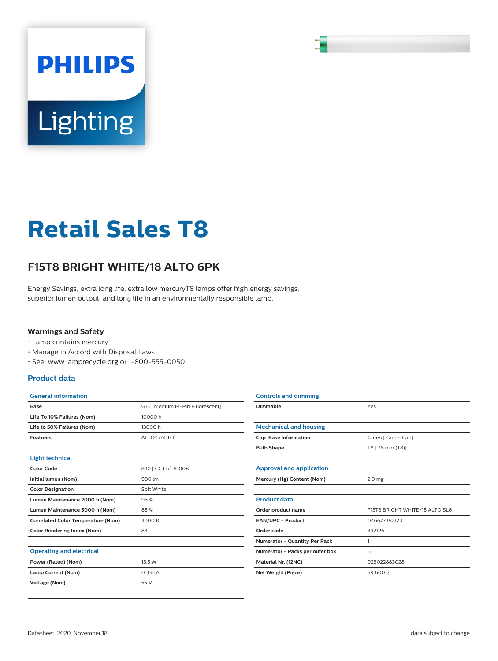# **PHILIPS Lighting**

# **Retail Sales T8**

## **F15T8 BRIGHT WHITE/18 ALTO 6PK**

Energy Savings, extra long life, extra low mercuryT8 lamps offer high energy savings, superior lumen output, and long life in an environmentally responsible lamp.

#### **Warnings and Safety**

- Lamp contains mercury.
- Manage in Accord with Disposal Laws.
- See: www.lamprecycle.org or 1-800-555-0050

#### **Product data**

| <b>General information</b>                |                                  |  |  |  |
|-------------------------------------------|----------------------------------|--|--|--|
| Base                                      | G13 [ Medium Bi-Pin Fluorescent] |  |  |  |
| Life To 10% Failures (Nom)                | 10000 h                          |  |  |  |
| Life to 50% Failures (Nom)                | 13000 h                          |  |  |  |
| <b>Features</b>                           | ALTO <sup>®</sup> (ALTO)         |  |  |  |
|                                           |                                  |  |  |  |
| <b>Light technical</b>                    |                                  |  |  |  |
| Color Code                                | 830   CCT of 3000K]              |  |  |  |
| Initial lumen (Nom)                       | 990 lm                           |  |  |  |
| <b>Color Designation</b>                  | Soft White                       |  |  |  |
| Lumen Maintenance 2000 h (Nom)            | 93%                              |  |  |  |
| Lumen Maintenance 5000 h (Nom)            | 88%                              |  |  |  |
| <b>Correlated Color Temperature (Nom)</b> | 3000 K                           |  |  |  |
| <b>Color Rendering Index (Nom)</b>        | 83                               |  |  |  |
|                                           |                                  |  |  |  |
| <b>Operating and electrical</b>           |                                  |  |  |  |
| Power (Rated) (Nom)                       | 15.5 W                           |  |  |  |
| Lamp Current (Nom)                        | 0.335A                           |  |  |  |
| <b>Voltage (Nom)</b>                      | 55 V                             |  |  |  |
|                                           |                                  |  |  |  |

| <b>Controls and dimming</b>          |                                |  |  |  |  |
|--------------------------------------|--------------------------------|--|--|--|--|
| Dimmable                             | Yes                            |  |  |  |  |
|                                      |                                |  |  |  |  |
| <b>Mechanical and housing</b>        |                                |  |  |  |  |
| <b>Cap-Base Information</b>          | Green [ Green Cap]             |  |  |  |  |
| <b>Bulb Shape</b>                    | T8 [ 26 mm (T8)]               |  |  |  |  |
|                                      |                                |  |  |  |  |
| <b>Approval and application</b>      |                                |  |  |  |  |
| Mercury (Hg) Content (Nom)           | 2.0 <sub>mg</sub>              |  |  |  |  |
|                                      |                                |  |  |  |  |
| <b>Product data</b>                  |                                |  |  |  |  |
| Order product name                   | F15T8 BRIGHT WHITE/18 ALTO SL6 |  |  |  |  |
| <b>EAN/UPC - Product</b>             | 046677392123                   |  |  |  |  |
| Order code                           | 392126                         |  |  |  |  |
| <b>Numerator - Quantity Per Pack</b> | 1                              |  |  |  |  |
| Numerator - Packs per outer box      | 6                              |  |  |  |  |
| Material Nr. (12NC)                  | 928022883028                   |  |  |  |  |
| Net Weight (Piece)                   | 59.600 g                       |  |  |  |  |
|                                      |                                |  |  |  |  |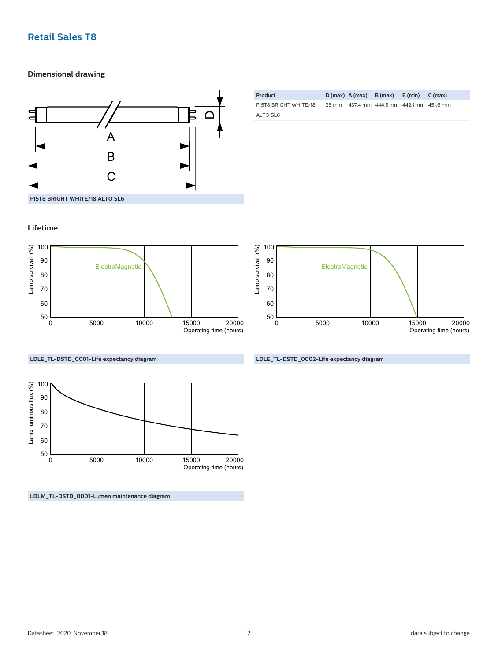#### **Retail Sales T8**

#### **Dimensional drawing**



| Product               |  | $D(max)$ A(max) B(max) B(min) C(max)      |  |
|-----------------------|--|-------------------------------------------|--|
| F15T8 BRIGHT WHITE/18 |  | 28 mm 437.4 mm 444.5 mm 442.1 mm 451.6 mm |  |
| ALTO SL6              |  |                                           |  |

## **Lifetime**





**LDLE\_TL-DSTD\_0001-Life expectancy diagram**



**LDLM\_TL-DSTD\_0001-Lumen maintenance diagram**

**LDLE\_TL-DSTD\_0002-Life expectancy diagram**